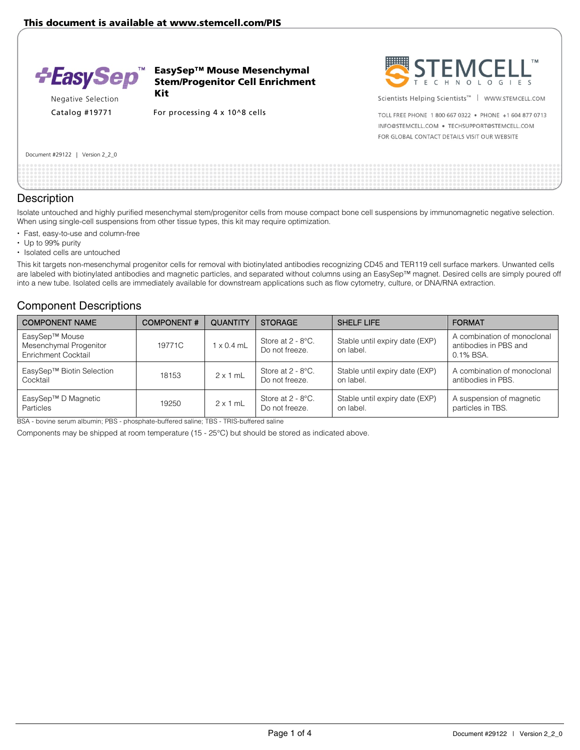

EasySep™ Mouse Mesenchymal Stem/Progenitor Cell Enrichment Kit

Negative Selection

Catalog #19771 For processing 4 x 10^8 cells



Scientists Helping Scientists<sup>™</sup> | WWW.STEMCELL.COM

TOLL FREE PHONE 1 800 667 0322 . PHONE +1 604 877 0713 INFO@STEMCELL.COM . TECHSUPPORT@STEMCELL.COM FOR GLOBAL CONTACT DETAILS VISIT OUR WEBSITE

#### Document #29122 | Version 2\_2\_0

### **Description**

Isolate untouched and highly purified mesenchymal stem/progenitor cells from mouse compact bone cell suspensions by immunomagnetic negative selection. When using single-cell suspensions from other tissue types, this kit may require optimization.

- Fast, easy-to-use and column-free
- Up to 99% purity
- Isolated cells are untouched

This kit targets non-mesenchymal progenitor cells for removal with biotinylated antibodies recognizing CD45 and TER119 cell surface markers. Unwanted cells are labeled with biotinylated antibodies and magnetic particles, and separated without columns using an EasySep™ magnet. Desired cells are simply poured off into a new tube. Isolated cells are immediately available for downstream applications such as flow cytometry, culture, or DNA/RNA extraction.

### Component Descriptions

| <b>COMPONENT NAME</b>                                                  | <b>COMPONENT#</b> | <b>QUANTITY</b>   | <b>STORAGE</b>                      | <b>SHELF LIFE</b>                           | <b>FORMAT</b>                                                        |
|------------------------------------------------------------------------|-------------------|-------------------|-------------------------------------|---------------------------------------------|----------------------------------------------------------------------|
| EasySep™ Mouse<br>Mesenchymal Progenitor<br><b>Enrichment Cocktail</b> | 19771C            | $1 \times 0.4$ mL | Store at 2 - 8°C.<br>Do not freeze. | Stable until expiry date (EXP)<br>on label. | A combination of monoclonal<br>antibodies in PBS and<br>$0.1\%$ BSA. |
| EasySep™ Biotin Selection<br>Cocktail                                  | 18153             | $2 \times 1$ mL   | Store at 2 - 8°C.<br>Do not freeze. | Stable until expiry date (EXP)<br>on label. | A combination of monoclonal<br>antibodies in PBS.                    |
| EasySep™ D Magnetic<br><b>Particles</b>                                | 19250             | $2 \times 1$ mL   | Store at 2 - 8°C.<br>Do not freeze. | Stable until expiry date (EXP)<br>on label. | A suspension of magnetic<br>particles in TBS.                        |

BSA - bovine serum albumin; PBS - phosphate-buffered saline; TBS - TRIS-buffered saline

Components may be shipped at room temperature (15 - 25°C) but should be stored as indicated above.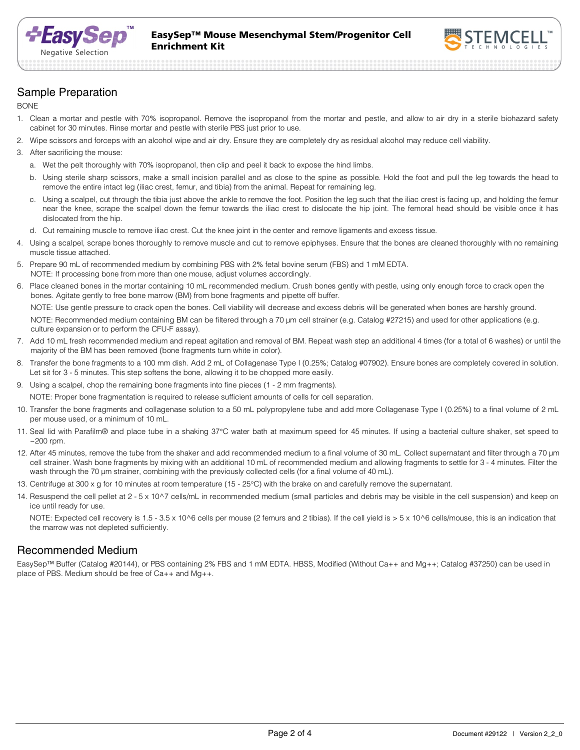



# Sample Preparation

BONE

- 1. Clean a mortar and pestle with 70% isopropanol. Remove the isopropanol from the mortar and pestle, and allow to air dry in a sterile biohazard safety cabinet for 30 minutes. Rinse mortar and pestle with sterile PBS just prior to use.
- 2. Wipe scissors and forceps with an alcohol wipe and air dry. Ensure they are completely dry as residual alcohol may reduce cell viability.
- 3. After sacrificing the mouse:
	- a. Wet the pelt thoroughly with 70% isopropanol, then clip and peel it back to expose the hind limbs.
	- b. Using sterile sharp scissors, make a small incision parallel and as close to the spine as possible. Hold the foot and pull the leg towards the head to remove the entire intact leg (iliac crest, femur, and tibia) from the animal. Repeat for remaining leg.
	- c. Using a scalpel, cut through the tibia just above the ankle to remove the foot. Position the leg such that the iliac crest is facing up, and holding the femur near the knee, scrape the scalpel down the femur towards the iliac crest to dislocate the hip joint. The femoral head should be visible once it has dislocated from the hip.
	- d. Cut remaining muscle to remove iliac crest. Cut the knee joint in the center and remove ligaments and excess tissue.
- 4. Using a scalpel, scrape bones thoroughly to remove muscle and cut to remove epiphyses. Ensure that the bones are cleaned thoroughly with no remaining muscle tissue attached.
- 5. Prepare 90 mL of recommended medium by combining PBS with 2% fetal bovine serum (FBS) and 1 mM EDTA. NOTE: If processing bone from more than one mouse, adjust volumes accordingly.
- 6. Place cleaned bones in the mortar containing 10 mL recommended medium. Crush bones gently with pestle, using only enough force to crack open the bones. Agitate gently to free bone marrow (BM) from bone fragments and pipette off buffer.

NOTE: Use gentle pressure to crack open the bones. Cell viability will decrease and excess debris will be generated when bones are harshly ground. NOTE: Recommended medium containing BM can be filtered through a 70 µm cell strainer (e.g. Catalog #27215) and used for other applications (e.g. culture expansion or to perform the CFU-F assay).

- 7. Add 10 mL fresh recommended medium and repeat agitation and removal of BM. Repeat wash step an additional 4 times (for a total of 6 washes) or until the majority of the BM has been removed (bone fragments turn white in color).
- 8. Transfer the bone fragments to a 100 mm dish. Add 2 mL of Collagenase Type I (0.25%; Catalog #07902). Ensure bones are completely covered in solution. Let sit for 3 - 5 minutes. This step softens the bone, allowing it to be chopped more easily.
- 9. Using a scalpel, chop the remaining bone fragments into fine pieces (1 2 mm fragments).

NOTE: Proper bone fragmentation is required to release sufficient amounts of cells for cell separation.

- 10. Transfer the bone fragments and collagenase solution to a 50 mL polypropylene tube and add more Collagenase Type I (0.25%) to a final volume of 2 mL per mouse used, or a minimum of 10 mL.
- 11. Seal lid with Parafilm® and place tube in a shaking 37°C water bath at maximum speed for 45 minutes. If using a bacterial culture shaker, set speed to  $\sim$  200 rpm.
- 12. After 45 minutes, remove the tube from the shaker and add recommended medium to a final volume of 30 mL. Collect supernatant and filter through a 70 µm cell strainer. Wash bone fragments by mixing with an additional 10 mL of recommended medium and allowing fragments to settle for 3 - 4 minutes. Filter the wash through the 70 µm strainer, combining with the previously collected cells (for a final volume of 40 mL).
- 13. Centrifuge at 300 x g for 10 minutes at room temperature (15 25°C) with the brake on and carefully remove the supernatant.
- 14. Resuspend the cell pellet at 2 5 x 10^7 cells/mL in recommended medium (small particles and debris may be visible in the cell suspension) and keep on ice until ready for use.

NOTE: Expected cell recovery is 1.5 - 3.5 x 10^6 cells per mouse (2 femurs and 2 tibias). If the cell yield is > 5 x 10^6 cells/mouse, this is an indication that the marrow was not depleted sufficiently.

# Recommended Medium

EasySep™ Buffer (Catalog #20144), or PBS containing 2% FBS and 1 mM EDTA. HBSS, Modified (Without Ca++ and Mg++; Catalog #37250) can be used in place of PBS. Medium should be free of Ca++ and Mg++.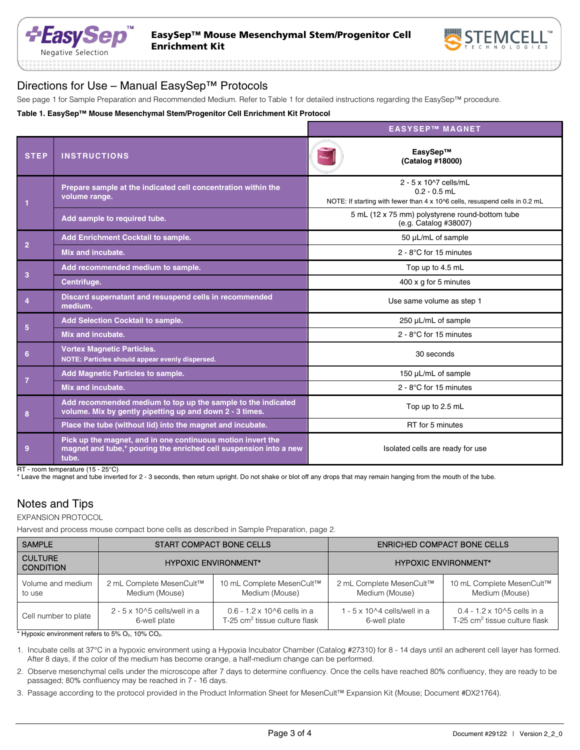



## Directions for Use – Manual EasySep™ Protocols

See page 1 for Sample Preparation and Recommended Medium. Refer to Table 1 for detailed instructions regarding the EasySep™ procedure.

#### **Table 1. EasySep™ Mouse Mesenchymal Stem/Progenitor Cell Enrichment Kit Protocol**

|                 |                                                                                                                                           | <b>EASYSEP™ MAGNET</b>                                                                                                 |
|-----------------|-------------------------------------------------------------------------------------------------------------------------------------------|------------------------------------------------------------------------------------------------------------------------|
| <b>STEP</b>     | <b>INSTRUCTIONS</b>                                                                                                                       | EasySep™<br>(Catalog #18000)                                                                                           |
|                 | Prepare sample at the indicated cell concentration within the<br>volume range.                                                            | 2 - 5 x 10^7 cells/mL<br>$0.2 - 0.5$ mL<br>NOTE: If starting with fewer than 4 x 10^6 cells, resuspend cells in 0.2 mL |
|                 | Add sample to required tube.                                                                                                              | 5 mL (12 x 75 mm) polystyrene round-bottom tube<br>(e.g. Catalog #38007)                                               |
|                 | Add Enrichment Cocktail to sample.                                                                                                        | 50 µL/mL of sample                                                                                                     |
| $\overline{2}$  | Mix and incubate.                                                                                                                         | $2 - 8$ °C for 15 minutes                                                                                              |
| 3               | Add recommended medium to sample.                                                                                                         | Top up to 4.5 mL                                                                                                       |
|                 | Centrifuge.                                                                                                                               | 400 x g for 5 minutes                                                                                                  |
| $\overline{4}$  | Discard supernatant and resuspend cells in recommended<br>medium.                                                                         | Use same volume as step 1                                                                                              |
| $5\phantom{.0}$ | <b>Add Selection Cocktail to sample.</b>                                                                                                  | 250 µL/mL of sample                                                                                                    |
|                 | Mix and incubate.                                                                                                                         | $2 - 8$ °C for 15 minutes                                                                                              |
| 6               | <b>Vortex Magnetic Particles.</b><br>NOTE: Particles should appear evenly dispersed.                                                      | 30 seconds                                                                                                             |
| $\overline{7}$  | <b>Add Magnetic Particles to sample.</b>                                                                                                  | 150 µL/mL of sample                                                                                                    |
|                 | Mix and incubate.                                                                                                                         | $2 - 8$ °C for 15 minutes                                                                                              |
| 8               | Add recommended medium to top up the sample to the indicated<br>volume. Mix by gently pipetting up and down 2 - 3 times.                  | Top up to 2.5 mL                                                                                                       |
|                 | Place the tube (without lid) into the magnet and incubate.                                                                                | RT for 5 minutes                                                                                                       |
| 9               | Pick up the magnet, and in one continuous motion invert the<br>magnet and tube,* pouring the enriched cell suspension into a new<br>tube. | Isolated cells are ready for use                                                                                       |

RT - room temperature (15 - 25°C)

\* Leave the magnet and tube inverted for 2 - 3 seconds, then return upright. Do not shake or blot off any drops that may remain hanging from the mouth of the tube.

# Notes and Tips

EXPANSION PROTOCOL

Harvest and process mouse compact bone cells as described in Sample Preparation, page 2.

| <b>SAMPLE</b>                      | START COMPACT BONE CELLS              |                                           | <b>ENRICHED COMPACT BONE CELLS</b>    |                                           |
|------------------------------------|---------------------------------------|-------------------------------------------|---------------------------------------|-------------------------------------------|
| <b>CULTURE</b><br><b>CONDITION</b> | <b>HYPOXIC ENVIRONMENT*</b>           |                                           | <b>HYPOXIC ENVIRONMENT*</b>           |                                           |
| Volume and medium                  | 2 mL Complete MesenCult™              | 10 mL Complete MesenCult™                 | 2 mL Complete MesenCult™              | 10 mL Complete MesenCult™                 |
| to use                             | Medium (Mouse)                        | Medium (Mouse)                            | Medium (Mouse)                        | Medium (Mouse)                            |
| Cell number to plate               | $2 - 5 \times 10^{6}$ cells/well in a | $0.6 - 1.2 \times 10^{6}$ cells in a      | $1 - 5 \times 10^{4}$ cells/well in a | $0.4 - 1.2 \times 10^{6}$ cells in a      |
|                                    | 6-well plate                          | T-25 cm <sup>2</sup> tissue culture flask | 6-well plate                          | T-25 cm <sup>2</sup> tissue culture flask |

 $*$  Hypoxic environment refers to 5%  $O<sub>2</sub>$ , 10%  $CO<sub>2</sub>$ .

1. Incubate cells at 37°C in a hypoxic environment using a Hypoxia Incubator Chamber (Catalog #27310) for 8 - 14 days until an adherent cell layer has formed. After 8 days, if the color of the medium has become orange, a half-medium change can be performed.

2. Observe mesenchymal cells under the microscope after 7 days to determine confluency. Once the cells have reached 80% confluency, they are ready to be passaged; 80% confluency may be reached in 7 - 16 days.

3. Passage according to the protocol provided in the Product Information Sheet for MesenCult™ Expansion Kit (Mouse; Document #DX21764).